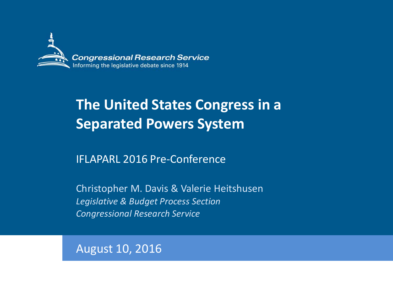

## **The United States Congress in a Separated Powers System**

### IFLAPARL 2016 Pre-Conference

Christopher M. Davis & Valerie Heitshusen *Legislative & Budget Process Section Congressional Research Service*

August 10, 2016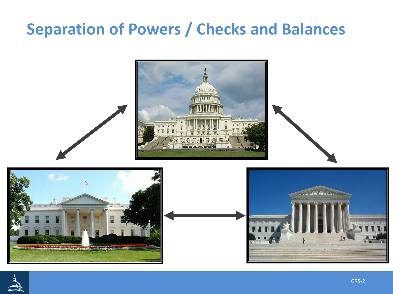# **Separation of Powers / Checks and Balances**



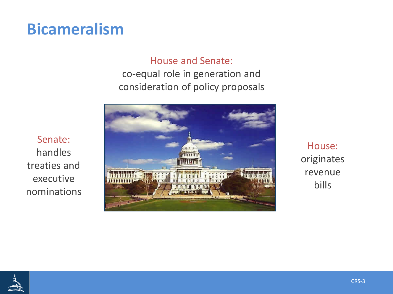## **Bicameralism**

### House and Senate:

co-equal role in generation and consideration of policy proposals



House: originates revenue bills

Senate: handles treaties and executive nominations